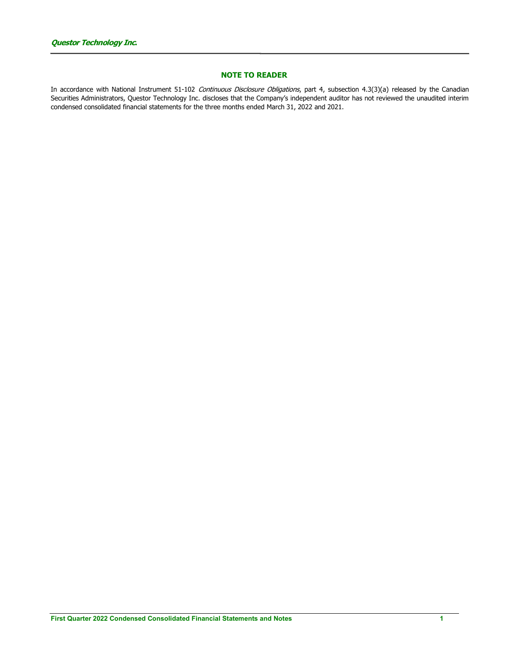## NOTE TO READER

In accordance with National Instrument 51-102 Continuous Disclosure Obligations, part 4, subsection 4.3(3)(a) released by the Canadian Securities Administrators, Questor Technology Inc. discloses that the Company's independent auditor has not reviewed the unaudited interim condensed consolidated financial statements for the three months ended March 31, 2022 and 2021.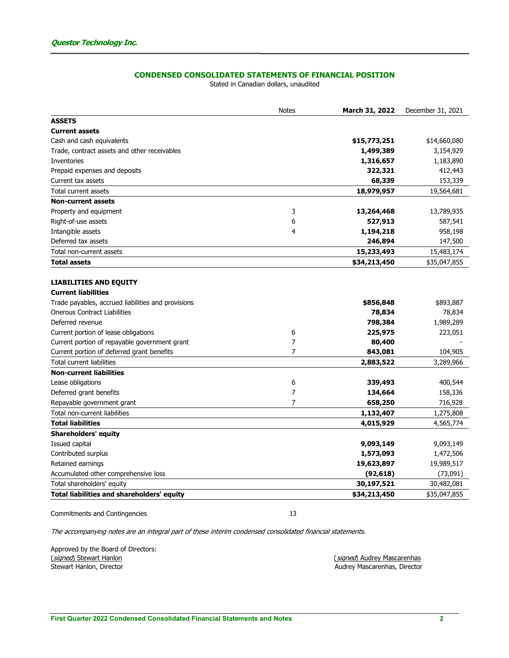# CONDENSED CONSOLIDATED STATEMENTS OF FINANCIAL POSITION

Stated in Canadian dollars, unaudited

|                                                    | <b>Notes</b>   | March 31, 2022 | December 31, 2021 |
|----------------------------------------------------|----------------|----------------|-------------------|
| <b>ASSETS</b>                                      |                |                |                   |
| <b>Current assets</b>                              |                |                |                   |
| Cash and cash equivalents                          |                | \$15,773,251   | \$14,660,080      |
| Trade, contract assets and other receivables       |                | 1,499,389      | 3,154,929         |
| Inventories                                        |                | 1,316,657      | 1,183,890         |
| Prepaid expenses and deposits                      |                | 322,321        | 412,443           |
| Current tax assets                                 |                | 68,339         | 153,339           |
| Total current assets                               |                | 18,979,957     | 19,564,681        |
| <b>Non-current assets</b>                          |                |                |                   |
| Property and equipment                             | 3              | 13,264,468     | 13,789,935        |
| Right-of-use assets                                | 6              | 527,913        | 587,541           |
| Intangible assets                                  | 4              | 1,194,218      | 958,198           |
| Deferred tax assets                                |                | 246,894        | 147,500           |
| Total non-current assets                           |                | 15,233,493     | 15,483,174        |
| <b>Total assets</b>                                |                | \$34,213,450   | \$35,047,855      |
|                                                    |                |                |                   |
| <b>LIABILITIES AND EQUITY</b>                      |                |                |                   |
| <b>Current liabilities</b>                         |                |                |                   |
| Trade payables, accrued liabilities and provisions |                | \$856,848      | \$893,887         |
| <b>Onerous Contract Liabilities</b>                |                | 78,834         | 78,834            |
| Deferred revenue                                   |                | 798,384        | 1,989,289         |
| Current portion of lease obligations               | 6              | 225,975        | 223,051           |
| Current portion of repayable government grant      | $\overline{7}$ | 80,400         |                   |
| Current portion of deferred grant benefits         | $\overline{7}$ | 843,081        | 104,905           |
| <b>Total current liabilities</b>                   |                | 2,883,522      | 3,289,966         |
| <b>Non-current liabilities</b>                     |                |                |                   |
| Lease obligations                                  | 6              | 339,493        | 400,544           |
| Deferred grant benefits                            | $\overline{7}$ | 134,664        | 158,336           |
| Repayable government grant                         | 7              | 658,250        | 716,928           |
| Total non-current liabilities                      |                | 1,132,407      | 1,275,808         |
| <b>Total liabilities</b>                           |                | 4,015,929      | 4,565,774         |
| <b>Shareholders' equity</b>                        |                |                |                   |
| Issued capital                                     |                | 9,093,149      | 9,093,149         |
| Contributed surplus                                |                | 1,573,093      | 1,472,506         |
| Retained earnings                                  |                | 19,623,897     | 19,989,517        |
| Accumulated other comprehensive loss               |                | (92, 618)      | (73,091)          |
| Total shareholders' equity                         |                | 30,197,521     | 30,482,081        |
| <b>Total liabilities and shareholders' equity</b>  |                | \$34,213,450   | \$35,047,855      |

Commitments and Contingencies 13

The accompanying notes are an integral part of these interim condensed consolidated financial statements.

Approved by the Board of Directors:<br>(signed) Stewart Hanlon (*signed*) Stewart Hanlon (*signed*) Audrey Mascarenhas (*signed*) Audrey Mascarenhas (*signed*) Audrey Mascarenhas (*Signed*) Audrey Mascarenhas (*Signed*) Audrey Mascarenhas (*Signed*) and the set of the set of the set o

Audrey Mascarenhas, Director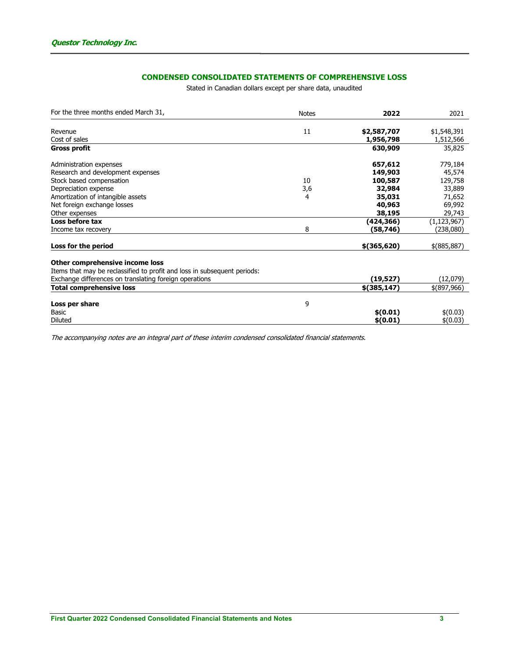# CONDENSED CONSOLIDATED STATEMENTS OF COMPREHENSIVE LOSS

Stated in Canadian dollars except per share data, unaudited

| For the three months ended March 31,                                     | <b>Notes</b> | 2022          | 2021          |
|--------------------------------------------------------------------------|--------------|---------------|---------------|
|                                                                          |              |               |               |
| Revenue                                                                  | 11           | \$2,587,707   | \$1,548,391   |
| Cost of sales                                                            |              | 1,956,798     | 1,512,566     |
| <b>Gross profit</b>                                                      |              | 630,909       | 35,825        |
| Administration expenses                                                  |              | 657,612       | 779,184       |
| Research and development expenses                                        |              | 149,903       | 45,574        |
| Stock based compensation                                                 | 10           | 100,587       | 129,758       |
| Depreciation expense                                                     | 3,6          | 32,984        | 33,889        |
| Amortization of intangible assets                                        | 4            | 35,031        | 71,652        |
| Net foreign exchange losses                                              |              | 40,963        | 69,992        |
| Other expenses                                                           |              | 38,195        | 29,743        |
| Loss before tax                                                          |              | (424,366)     | (1, 123, 967) |
| Income tax recovery                                                      | 8            | (58,746)      | (238,080)     |
| Loss for the period                                                      |              | $$$ (365,620) | $$$ (885,887) |
| Other comprehensive income loss                                          |              |               |               |
| Items that may be reclassified to profit and loss in subsequent periods: |              |               |               |
| Exchange differences on translating foreign operations                   |              | (19, 527)     | (12,079)      |
| <b>Total comprehensive loss</b>                                          |              | $$$ (385,147) | \$(897,966)   |
| Loss per share                                                           | 9            |               |               |
| Basic                                                                    |              | \$(0.01)      | \$(0.03)      |
| <b>Diluted</b>                                                           |              | \$(0.01)      | \$(0.03)      |

The accompanying notes are an integral part of these interim condensed consolidated financial statements.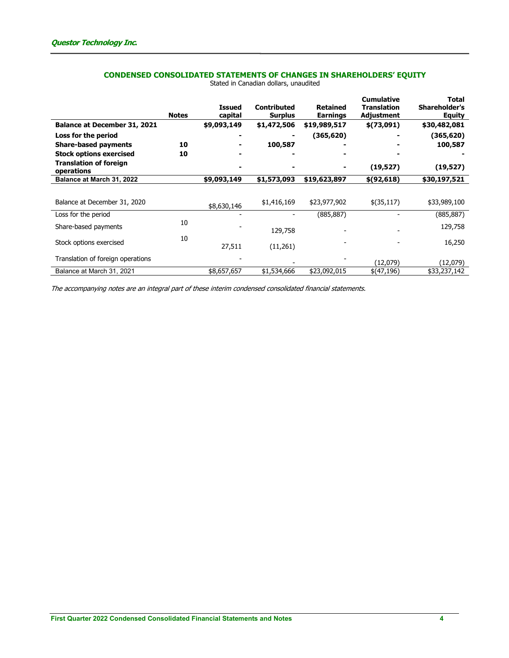# CONDENSED CONSOLIDATED STATEMENTS OF CHANGES IN SHAREHOLDERS' EQUITY

|                                             | <b>Notes</b> | <b>Issued</b><br>capital | Contributed<br><b>Surplus</b> | <b>Retained</b><br><b>Earnings</b> | <b>Cumulative</b><br>Translation<br>Adjustment | <b>Total</b><br><b>Shareholder's</b><br><b>Equity</b> |
|---------------------------------------------|--------------|--------------------------|-------------------------------|------------------------------------|------------------------------------------------|-------------------------------------------------------|
| Balance at December 31, 2021                |              | \$9,093,149              | \$1,472,506                   | \$19,989,517                       | \$(73,091)                                     | \$30,482,081                                          |
| Loss for the period                         |              |                          |                               | (365, 620)                         |                                                | (365,620)                                             |
| <b>Share-based payments</b>                 | 10           |                          | 100,587                       |                                    |                                                | 100,587                                               |
| <b>Stock options exercised</b>              | 10           |                          |                               |                                    |                                                |                                                       |
| <b>Translation of foreign</b><br>operations |              |                          |                               |                                    | (19,527)                                       | (19,527)                                              |
| Balance at March 31, 2022                   |              | \$9,093,149              | \$1,573,093                   | \$19,623,897                       | \$(92, 618)                                    | \$30,197,521                                          |
| Balance at December 31, 2020                |              | \$8,630,146              | \$1,416,169                   | \$23,977,902                       | \$(35,117)                                     | \$33,989,100                                          |
| Loss for the period                         |              |                          |                               | (885, 887)                         |                                                | (885, 887)                                            |
| Share-based payments                        | 10           |                          | 129,758                       |                                    |                                                | 129,758                                               |
| Stock options exercised                     | 10           | 27,511                   | (11,261)                      |                                    |                                                | 16,250                                                |
| Translation of foreign operations           |              |                          |                               |                                    | (12,079)                                       | (12,079)                                              |
| Balance at March 31, 2021                   |              | \$8,657,657              | \$1,534,666                   | \$23,092,015                       | \$(47,196)                                     | \$33,237,142                                          |

Stated in Canadian dollars, unaudited

The accompanying notes are an integral part of these interim condensed consolidated financial statements.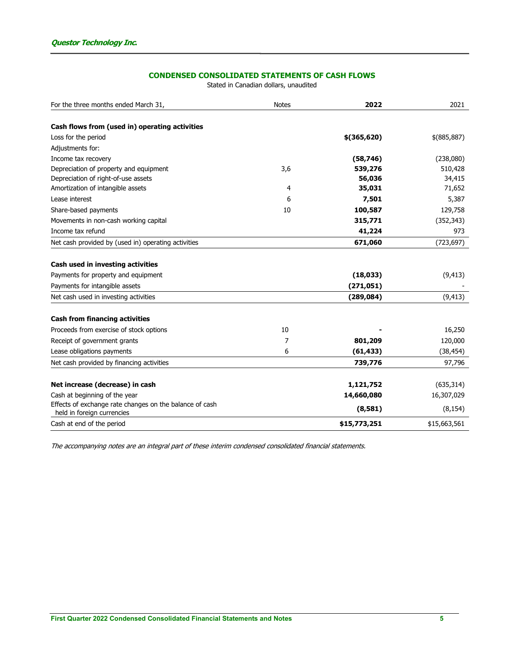# CONDENSED CONSOLIDATED STATEMENTS OF CASH FLOWS

Stated in Canadian dollars, unaudited

| For the three months ended March 31,                    | <b>Notes</b> | 2022          | 2021         |
|---------------------------------------------------------|--------------|---------------|--------------|
| Cash flows from (used in) operating activities          |              |               |              |
| Loss for the period                                     |              | $$$ (365,620) | \$(885,887)  |
| Adjustments for:                                        |              |               |              |
|                                                         |              |               |              |
| Income tax recovery                                     |              | (58, 746)     | (238,080)    |
| Depreciation of property and equipment                  | 3,6          | 539,276       | 510,428      |
| Depreciation of right-of-use assets                     |              | 56,036        | 34,415       |
| Amortization of intangible assets                       | 4            | 35,031        | 71,652       |
| Lease interest                                          | 6            | 7,501         | 5,387        |
| Share-based payments                                    | 10           | 100,587       | 129,758      |
| Movements in non-cash working capital                   |              | 315,771       | (352, 343)   |
| Income tax refund                                       |              | 41,224        | 973          |
| Net cash provided by (used in) operating activities     |              | 671,060       | (723, 697)   |
|                                                         |              |               |              |
| Cash used in investing activities                       |              |               |              |
| Payments for property and equipment                     |              | (18, 033)     | (9, 413)     |
| Payments for intangible assets                          |              | (271, 051)    |              |
| Net cash used in investing activities                   |              | (289, 084)    | (9, 413)     |
| <b>Cash from financing activities</b>                   |              |               |              |
| Proceeds from exercise of stock options                 | 10           |               | 16,250       |
| Receipt of government grants                            | 7            | 801,209       | 120,000      |
| Lease obligations payments                              | 6            | (61, 433)     | (38, 454)    |
| Net cash provided by financing activities               |              | 739,776       | 97,796       |
| Net increase (decrease) in cash                         |              | 1,121,752     | (635, 314)   |
| Cash at beginning of the year                           |              | 14,660,080    | 16,307,029   |
| Effects of exchange rate changes on the balance of cash |              |               |              |
| held in foreign currencies                              |              | (8,581)       | (8, 154)     |
| Cash at end of the period                               |              | \$15,773,251  | \$15,663,561 |

The accompanying notes are an integral part of these interim condensed consolidated financial statements.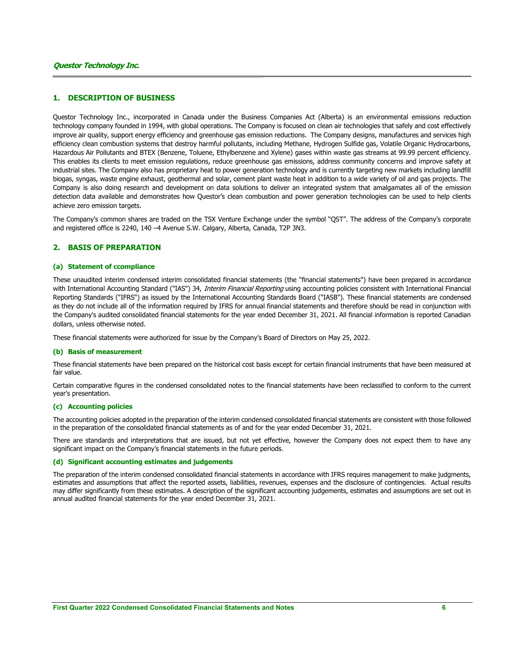### 1. DESCRIPTION OF BUSINESS

Questor Technology Inc., incorporated in Canada under the Business Companies Act (Alberta) is an environmental emissions reduction technology company founded in 1994, with global operations. The Company is focused on clean air technologies that safely and cost effectively improve air quality, support energy efficiency and greenhouse gas emission reductions. The Company designs, manufactures and services high efficiency clean combustion systems that destroy harmful pollutants, including Methane, Hydrogen Sulfide gas, Volatile Organic Hydrocarbons, Hazardous Air Pollutants and BTEX (Benzene, Toluene, Ethylbenzene and Xylene) gases within waste gas streams at 99.99 percent efficiency. This enables its clients to meet emission regulations, reduce greenhouse gas emissions, address community concerns and improve safety at industrial sites. The Company also has proprietary heat to power generation technology and is currently targeting new markets including landfill biogas, syngas, waste engine exhaust, geothermal and solar, cement plant waste heat in addition to a wide variety of oil and gas projects. The Company is also doing research and development on data solutions to deliver an integrated system that amalgamates all of the emission detection data available and demonstrates how Questor's clean combustion and power generation technologies can be used to help clients achieve zero emission targets.

The Company's common shares are traded on the TSX Venture Exchange under the symbol "QST". The address of the Company's corporate and registered office is 2240, 140 –4 Avenue S.W. Calgary, Alberta, Canada, T2P 3N3.

### 2. BASIS OF PREPARATION

#### (a) Statement of ccompliance

These unaudited interim condensed interim consolidated financial statements (the "financial statements") have been prepared in accordance with International Accounting Standard ("IAS") 34, Interim Financial Reporting using accounting policies consistent with International Financial Reporting Standards ("IFRS") as issued by the International Accounting Standards Board ("IASB"). These financial statements are condensed as they do not include all of the information required by IFRS for annual financial statements and therefore should be read in conjunction with the Company's audited consolidated financial statements for the year ended December 31, 2021. All financial information is reported Canadian dollars, unless otherwise noted.

These financial statements were authorized for issue by the Company's Board of Directors on May 25, 2022.

#### (b) Basis of measurement

These financial statements have been prepared on the historical cost basis except for certain financial instruments that have been measured at fair value.

Certain comparative figures in the condensed consolidated notes to the financial statements have been reclassified to conform to the current year's presentation.

### (c) Accounting policies

The accounting policies adopted in the preparation of the interim condensed consolidated financial statements are consistent with those followed in the preparation of the consolidated financial statements as of and for the year ended December 31, 2021.

There are standards and interpretations that are issued, but not yet effective, however the Company does not expect them to have any significant impact on the Company's financial statements in the future periods.

#### (d) Significant accounting estimates and judgements

The preparation of the interim condensed consolidated financial statements in accordance with IFRS requires management to make judgments, estimates and assumptions that affect the reported assets, liabilities, revenues, expenses and the disclosure of contingencies. Actual results may differ significantly from these estimates. A description of the significant accounting judgements, estimates and assumptions are set out in annual audited financial statements for the year ended December 31, 2021.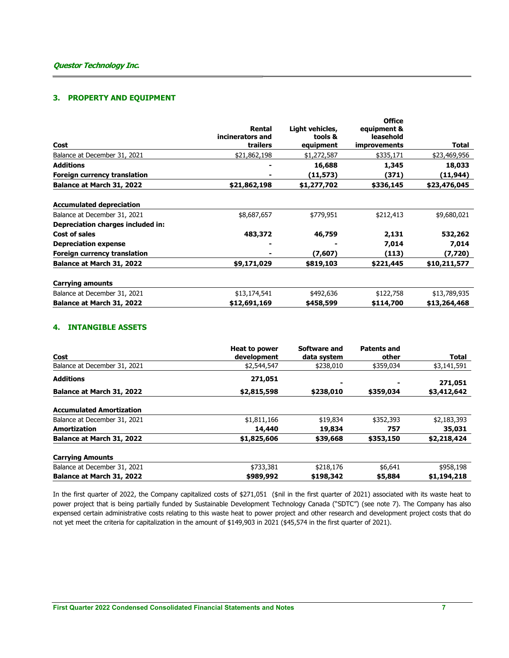# 3. PROPERTY AND EQUIPMENT

|              |                  | <b>Office</b>       |              |
|--------------|------------------|---------------------|--------------|
| Rental       | Light vehicles,  | equipment &         |              |
| trailers     | equipment        | <i>improvements</i> | Total        |
| \$21,862,198 | \$1,272,587      | \$335,171           | \$23,469,956 |
|              | 16,688           | 1,345               | 18,033       |
|              | (11, 573)        | (371)               | (11,944)     |
| \$21,862,198 | \$1,277,702      | \$336,145           | \$23,476,045 |
|              |                  |                     |              |
| \$8,687,657  | \$779,951        | \$212,413           | \$9,680,021  |
|              |                  |                     |              |
| 483,372      | 46,759           | 2,131               | 532,262      |
|              |                  | 7,014               | 7,014        |
|              | (7,607)          | (113)               | (7,720)      |
| \$9,171,029  | \$819,103        | \$221,445           | \$10,211,577 |
|              |                  |                     |              |
| \$13,174,541 | \$492,636        | \$122,758           | \$13,789,935 |
| \$12,691,169 | \$458,599        | \$114,700           | \$13,264,468 |
|              | incinerators and | tools &             | leasehold    |

## 4. INTANGIBLE ASSETS

| Cost                            | Heat to power<br>development | Software and<br>data system | <b>Patents and</b><br>other | <b>Total</b> |
|---------------------------------|------------------------------|-----------------------------|-----------------------------|--------------|
| Balance at December 31, 2021    | \$2,544,547                  | \$238,010                   | \$359,034                   | \$3,141,591  |
| <b>Additions</b>                | 271,051                      | -                           |                             | 271,051      |
| Balance at March 31, 2022       | \$2,815,598                  | \$238,010                   | \$359,034                   | \$3,412,642  |
| <b>Accumulated Amortization</b> |                              |                             |                             |              |
| Balance at December 31, 2021    | \$1,811,166                  | \$19,834                    | \$352,393                   | \$2,183,393  |
| Amortization                    | 14,440                       | 19,834                      | 757                         | 35,031       |
| Balance at March 31, 2022       | \$1,825,606                  | \$39,668                    | \$353,150                   | \$2,218,424  |
| <b>Carrying Amounts</b>         |                              |                             |                             |              |
| Balance at December 31, 2021    | \$733,381                    | \$218,176                   | \$6,641                     | \$958,198    |
| Balance at March 31, 2022       | \$989,992                    | \$198,342                   | \$5,884                     | \$1,194,218  |

In the first quarter of 2022, the Company capitalized costs of \$271,051 (\$nil in the first quarter of 2021) associated with its waste heat to power project that is being partially funded by Sustainable Development Technology Canada ("SDTC") (see note 7). The Company has also expensed certain administrative costs relating to this waste heat to power project and other research and development project costs that do not yet meet the criteria for capitalization in the amount of \$149,903 in 2021 (\$45,574 in the first quarter of 2021).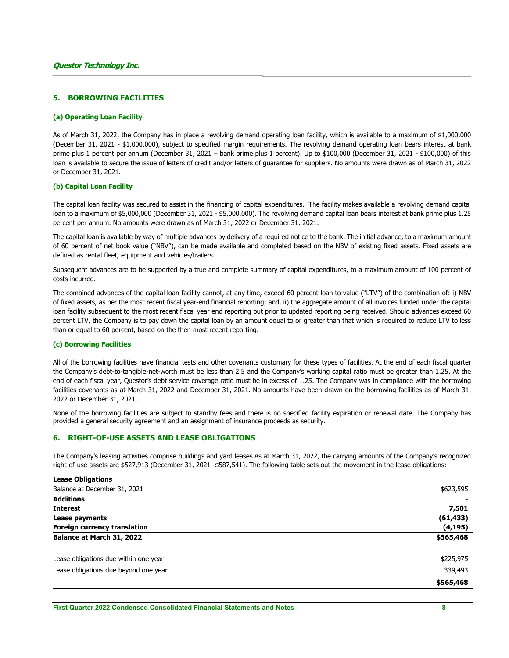## 5. BORROWING FACILITIES

#### (a) Operating Loan Facility

As of March 31, 2022, the Company has in place a revolving demand operating loan facility, which is available to a maximum of \$1,000,000 (December 31, 2021 - \$1,000,000), subject to specified margin requirements. The revolving demand operating loan bears interest at bank prime plus 1 percent per annum (December 31, 2021 – bank prime plus 1 percent). Up to \$100,000 (December 31, 2021 - \$100,000) of this loan is available to secure the issue of letters of credit and/or letters of guarantee for suppliers. No amounts were drawn as of March 31, 2022 or December 31, 2021.

### (b) Capital Loan Facility

The capital loan facility was secured to assist in the financing of capital expenditures. The facility makes available a revolving demand capital loan to a maximum of \$5,000,000 (December 31, 2021 - \$5,000,000). The revolving demand capital loan bears interest at bank prime plus 1.25 percent per annum. No amounts were drawn as of March 31, 2022 or December 31, 2021.

The capital loan is available by way of multiple advances by delivery of a required notice to the bank. The initial advance, to a maximum amount of 60 percent of net book value ("NBV"), can be made available and completed based on the NBV of existing fixed assets. Fixed assets are defined as rental fleet, equipment and vehicles/trailers.

Subsequent advances are to be supported by a true and complete summary of capital expenditures, to a maximum amount of 100 percent of costs incurred.

The combined advances of the capital loan facility cannot, at any time, exceed 60 percent loan to value ("LTV") of the combination of: i) NBV of fixed assets, as per the most recent fiscal year-end financial reporting; and, ii) the aggregate amount of all invoices funded under the capital loan facility subsequent to the most recent fiscal year end reporting but prior to updated reporting being received. Should advances exceed 60 percent LTV, the Company is to pay down the capital loan by an amount equal to or greater than that which is required to reduce LTV to less than or equal to 60 percent, based on the then most recent reporting.

### (c) Borrowing Facilities

All of the borrowing facilities have financial tests and other covenants customary for these types of facilities. At the end of each fiscal quarter the Company's debt-to-tangible-net-worth must be less than 2.5 and the Company's working capital ratio must be greater than 1.25. At the end of each fiscal year, Questor's debt service coverage ratio must be in excess of 1.25. The Company was in compliance with the borrowing facilities covenants as at March 31, 2022 and December 31, 2021. No amounts have been drawn on the borrowing facilities as of March 31, 2022 or December 31, 2021.

None of the borrowing facilities are subject to standby fees and there is no specified facility expiration or renewal date. The Company has provided a general security agreement and an assignment of insurance proceeds as security.

### 6. RIGHT-OF-USE ASSETS AND LEASE OBLIGATIONS

The Company's leasing activities comprise buildings and yard leases.As at March 31, 2022, the carrying amounts of the Company's recognized right-of-use assets are \$527,913 (December 31, 2021- \$587,541). The following table sets out the movement in the lease obligations:

| <b>Lease Obligations</b> |  |
|--------------------------|--|
|                          |  |

| 339,493   |
|-----------|
| \$225,975 |
|           |
| \$565,468 |
| (4, 195)  |
| (61, 433) |
| 7,501     |
|           |
| \$623,595 |
|           |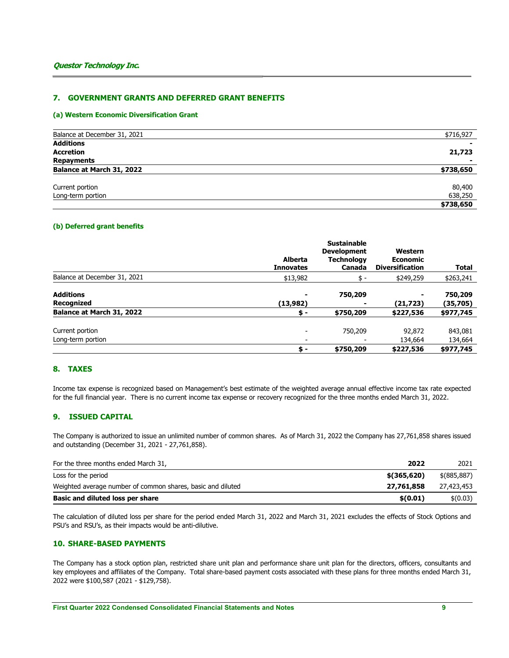## 7. GOVERNMENT GRANTS AND DEFERRED GRANT BENEFITS

### (a) Western Economic Diversification Grant

| Balance at December 31, 2021 | \$716,927 |
|------------------------------|-----------|
| <b>Additions</b>             |           |
| <b>Accretion</b>             | 21,723    |
| Repayments                   |           |
| Balance at March 31, 2022    | \$738,650 |
| Current portion              | 80,400    |
| Long-term portion            | 638,250   |
|                              | \$738,650 |

### (b) Deferred grant benefits

|                                      | <b>Alberta</b><br><b>Innovates</b> | <b>Sustainable</b><br><b>Development</b><br><b>Technology</b><br>Canada | Western<br><b>Economic</b><br><b>Diversification</b> | <b>Total</b>        |
|--------------------------------------|------------------------------------|-------------------------------------------------------------------------|------------------------------------------------------|---------------------|
| Balance at December 31, 2021         | \$13,982                           | \$ -                                                                    | \$249,259                                            | \$263,241           |
| <b>Additions</b><br>Recognized       | ٠<br>(13,982)                      | 750,209                                                                 | (21,723)                                             | 750,209<br>(35,705) |
| Balance at March 31, 2022            | \$-                                | \$750,209                                                               | \$227,536                                            | \$977,745           |
| Current portion<br>Long-term portion | $\overline{\phantom{a}}$           | 750,209                                                                 | 92,872<br>134,664                                    | 843,081<br>134,664  |
|                                      | \$-                                | \$750,209                                                               | \$227,536                                            | \$977,745           |

## 8. TAXES

Income tax expense is recognized based on Management's best estimate of the weighted average annual effective income tax rate expected for the full financial year. There is no current income tax expense or recovery recognized for the three months ended March 31, 2022.

## 9. ISSUED CAPITAL

The Company is authorized to issue an unlimited number of common shares. As of March 31, 2022 the Company has 27,761,858 shares issued and outstanding (December 31, 2021 - 27,761,858).

| For the three months ended March 31,                        | 2022          | 2021          |
|-------------------------------------------------------------|---------------|---------------|
| Loss for the period                                         | $$$ (365,620) | $$$ (885,887) |
| Weighted average number of common shares, basic and diluted | 27,761,858    | 27,423,453    |
| Basic and diluted loss per share                            | \$(0.01)      | \$(0.03)      |

The calculation of diluted loss per share for the period ended March 31, 2022 and March 31, 2021 excludes the effects of Stock Options and PSU's and RSU's, as their impacts would be anti-dilutive.

## 10. SHARE-BASED PAYMENTS

The Company has a stock option plan, restricted share unit plan and performance share unit plan for the directors, officers, consultants and key employees and affiliates of the Company. Total share-based payment costs associated with these plans for three months ended March 31, 2022 were \$100,587 (2021 - \$129,758).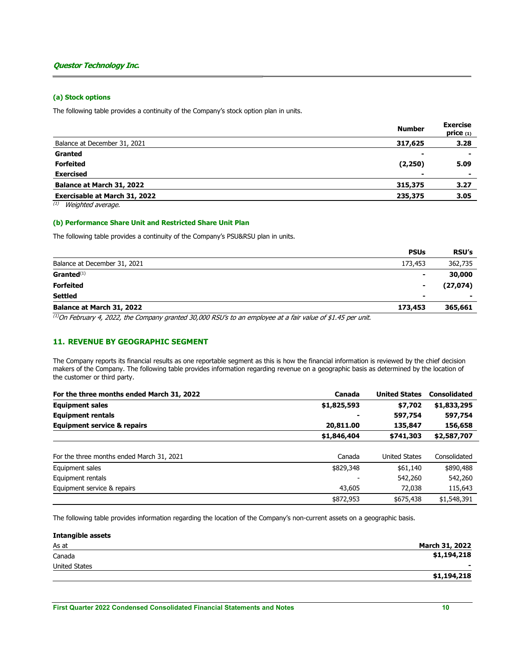### (a) Stock options

The following table provides a continuity of the Company's stock option plan in units.

|                                      | <b>Number</b>  | <b>Exercise</b><br>price $(1)$ |
|--------------------------------------|----------------|--------------------------------|
| Balance at December 31, 2021         | 317,625        | 3.28                           |
| Granted                              | -              |                                |
| <b>Forfeited</b>                     | (2,250)        | 5.09                           |
| <b>Exercised</b>                     | $\blacksquare$ | $\overline{\phantom{a}}$       |
| Balance at March 31, 2022            | 315,375        | 3.27                           |
| <b>Exercisable at March 31, 2022</b> | 235,375        | 3.05                           |

 $(1)$  Weighted average.

#### (b) Performance Share Unit and Restricted Share Unit Plan

The following table provides a continuity of the Company's PSU&RSU plan in units.

|                              | <b>PSUs</b> | <b>RSU's</b> |
|------------------------------|-------------|--------------|
| Balance at December 31, 2021 | 173,453     | 362,735      |
| $G$ ranted $(1)$             | -           | 30,000       |
| <b>Forfeited</b>             | -           | (27, 074)    |
| Settled                      | -           |              |
| Balance at March 31, 2022    | 173,453     | 365,661      |
|                              |             |              |

(1) On February 4, 2022, the Company granted 30,000 RSU's to an employee at a fair value of \$1.45 per unit.

## 11. REVENUE BY GEOGRAPHIC SEGMENT

The Company reports its financial results as one reportable segment as this is how the financial information is reviewed by the chief decision makers of the Company. The following table provides information regarding revenue on a geographic basis as determined by the location of the customer or third party.

| For the three months ended March 31, 2022 | Canada      | <b>United States</b> | <b>Consolidated</b> |
|-------------------------------------------|-------------|----------------------|---------------------|
| <b>Equipment sales</b>                    | \$1,825,593 | \$7,702              | \$1,833,295         |
| <b>Equipment rentals</b>                  |             | 597,754              | 597,754             |
| <b>Equipment service &amp; repairs</b>    | 20,811.00   | 135,847              | 156,658             |
|                                           | \$1,846,404 | \$741,303            | \$2,587,707         |
|                                           |             |                      |                     |
| For the three months ended March 31, 2021 | Canada      | <b>United States</b> | Consolidated        |
| Equipment sales                           | \$829,348   | \$61,140             | \$890,488           |
| Equipment rentals                         |             | 542,260              | 542,260             |
| Equipment service & repairs               | 43,605      | 72,038               | 115,643             |
|                                           | \$872,953   | \$675,438            | \$1,548,391         |

The following table provides information regarding the location of the Company's non-current assets on a geographic basis.

| <b>Intangible assets</b> |                       |
|--------------------------|-----------------------|
| As at                    | <b>March 31, 2022</b> |
| Canada                   | \$1,194,218           |
| United States            |                       |
|                          | \$1,194,218           |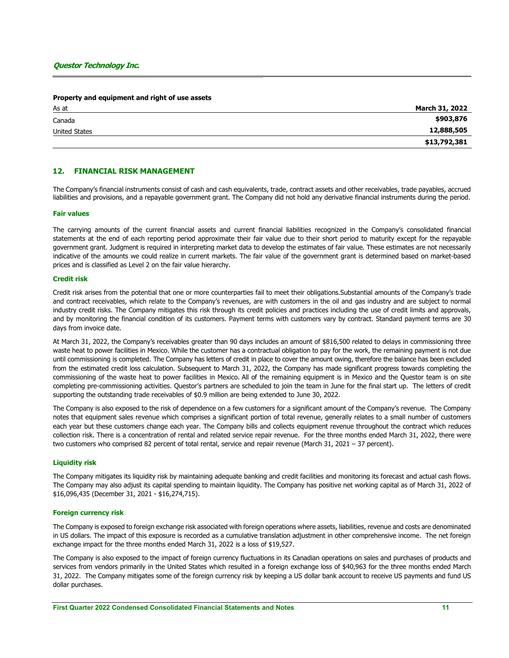#### Property and equipment and right of use assets

| As at         | March 31, 2022 |
|---------------|----------------|
| Canada        | \$903,876      |
| United States | 12,888,505     |
|               | \$13,792,381   |

### 12. FINANCIAL RISK MANAGEMENT

The Company's financial instruments consist of cash and cash equivalents, trade, contract assets and other receivables, trade payables, accrued liabilities and provisions, and a repayable government grant. The Company did not hold any derivative financial instruments during the period.

#### Fair values

The carrying amounts of the current financial assets and current financial liabilities recognized in the Company's consolidated financial statements at the end of each reporting period approximate their fair value due to their short period to maturity except for the repayable government grant. Judgment is required in interpreting market data to develop the estimates of fair value. These estimates are not necessarily indicative of the amounts we could realize in current markets. The fair value of the government grant is determined based on market-based prices and is classified as Level 2 on the fair value hierarchy.

#### Credit risk

Credit risk arises from the potential that one or more counterparties fail to meet their obligations.Substantial amounts of the Company's trade and contract receivables, which relate to the Company's revenues, are with customers in the oil and gas industry and are subject to normal industry credit risks. The Company mitigates this risk through its credit policies and practices including the use of credit limits and approvals, and by monitoring the financial condition of its customers. Payment terms with customers vary by contract. Standard payment terms are 30 days from invoice date.

At March 31, 2022, the Company's receivables greater than 90 days includes an amount of \$816,500 related to delays in commissioning three waste heat to power facilities in Mexico. While the customer has a contractual obligation to pay for the work, the remaining payment is not due until commissioning is completed. The Company has letters of credit in place to cover the amount owing, therefore the balance has been excluded from the estimated credit loss calculation. Subsequent to March 31, 2022, the Company has made significant progress towards completing the commissioning of the waste heat to power facilities in Mexico. All of the remaining equipment is in Mexico and the Questor team is on site completing pre-commissioning activities. Questor's partners are scheduled to join the team in June for the final start up. The letters of credit supporting the outstanding trade receivables of \$0.9 million are being extended to June 30, 2022.

The Company is also exposed to the risk of dependence on a few customers for a significant amount of the Company's revenue. The Company notes that equipment sales revenue which comprises a significant portion of total revenue, generally relates to a small number of customers each year but these customers change each year. The Company bills and collects equipment revenue throughout the contract which reduces collection risk. There is a concentration of rental and related service repair revenue. For the three months ended March 31, 2022, there were two customers who comprised 82 percent of total rental, service and repair revenue (March 31, 2021 – 37 percent).

#### Liquidity risk

The Company mitigates its liquidity risk by maintaining adequate banking and credit facilities and monitoring its forecast and actual cash flows. The Company may also adjust its capital spending to maintain liquidity. The Company has positive net working capital as of March 31, 2022 of \$16,096,435 (December 31, 2021 - \$16,274,715).

#### Foreign currency risk

The Company is exposed to foreign exchange risk associated with foreign operations where assets, liabilities, revenue and costs are denominated in US dollars. The impact of this exposure is recorded as a cumulative translation adjustment in other comprehensive income. The net foreign exchange impact for the three months ended March 31, 2022 is a loss of \$19,527.

The Company is also exposed to the impact of foreign currency fluctuations in its Canadian operations on sales and purchases of products and services from vendors primarily in the United States which resulted in a foreign exchange loss of \$40,963 for the three months ended March 31, 2022. The Company mitigates some of the foreign currency risk by keeping a US dollar bank account to receive US payments and fund US dollar purchases.